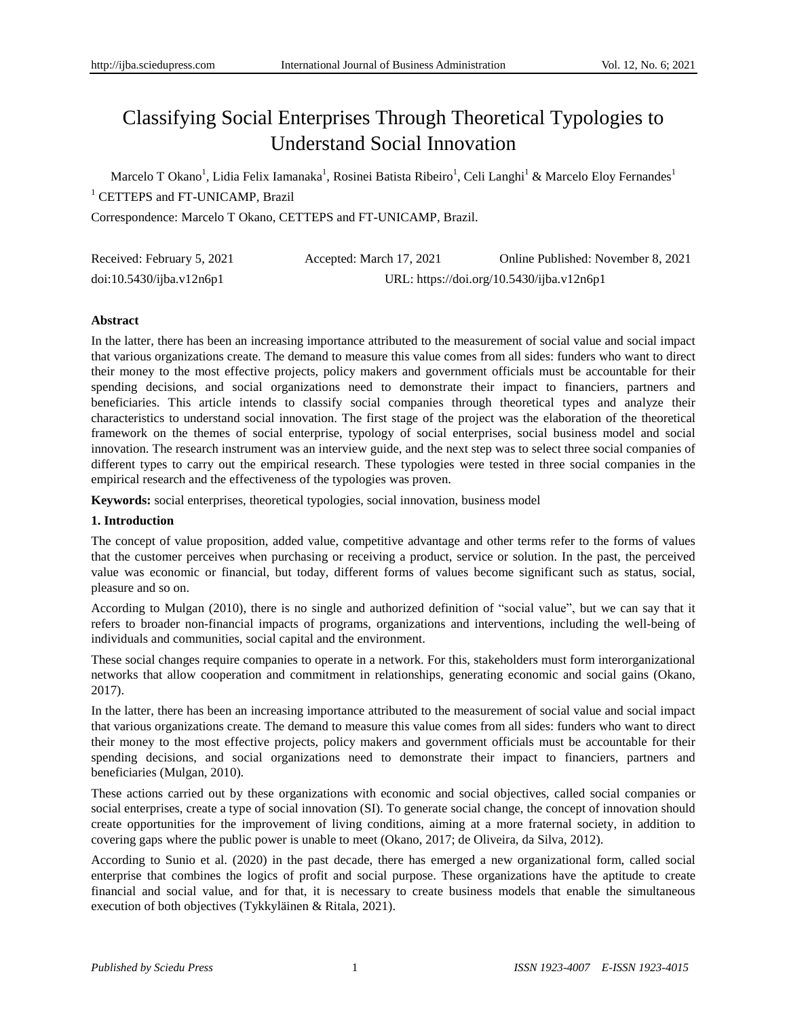# Classifying Social Enterprises Through Theoretical Typologies to Understand Social Innovation

Marcelo T Okano<sup>1</sup>, Lidia Felix Iamanaka<sup>1</sup>, Rosinei Batista Ribeiro<sup>1</sup>, Celi Langhi<sup>1</sup> & Marcelo Eloy Fernandes<sup>1</sup> <sup>1</sup> CETTEPS and FT-UNICAMP, Brazil

Correspondence: Marcelo T Okano, CETTEPS and FT-UNICAMP, Brazil.

| Received: February 5, 2021 | Accepted: March 17, 2021                  | Online Published: November 8, 2021 |
|----------------------------|-------------------------------------------|------------------------------------|
| doi:10.5430/ijba.v12n6p1   | URL: https://doi.org/10.5430/ijba.v12n6p1 |                                    |

## **Abstract**

In the latter, there has been an increasing importance attributed to the measurement of social value and social impact that various organizations create. The demand to measure this value comes from all sides: funders who want to direct their money to the most effective projects, policy makers and government officials must be accountable for their spending decisions, and social organizations need to demonstrate their impact to financiers, partners and beneficiaries. This article intends to classify social companies through theoretical types and analyze their characteristics to understand social innovation. The first stage of the project was the elaboration of the theoretical framework on the themes of social enterprise, typology of social enterprises, social business model and social innovation. The research instrument was an interview guide, and the next step was to select three social companies of different types to carry out the empirical research. These typologies were tested in three social companies in the empirical research and the effectiveness of the typologies was proven.

**Keywords:** social enterprises, theoretical typologies, social innovation, business model

## **1. Introduction**

The concept of value proposition, added value, competitive advantage and other terms refer to the forms of values that the customer perceives when purchasing or receiving a product, service or solution. In the past, the perceived value was economic or financial, but today, different forms of values become significant such as status, social, pleasure and so on.

According to Mulgan (2010), there is no single and authorized definition of "social value", but we can say that it refers to broader non-financial impacts of programs, organizations and interventions, including the well-being of individuals and communities, social capital and the environment.

These social changes require companies to operate in a network. For this, stakeholders must form interorganizational networks that allow cooperation and commitment in relationships, generating economic and social gains (Okano, 2017).

In the latter, there has been an increasing importance attributed to the measurement of social value and social impact that various organizations create. The demand to measure this value comes from all sides: funders who want to direct their money to the most effective projects, policy makers and government officials must be accountable for their spending decisions, and social organizations need to demonstrate their impact to financiers, partners and beneficiaries (Mulgan, 2010).

These actions carried out by these organizations with economic and social objectives, called social companies or social enterprises, create a type of social innovation (SI). To generate social change, the concept of innovation should create opportunities for the improvement of living conditions, aiming at a more fraternal society, in addition to covering gaps where the public power is unable to meet (Okano, 2017; de Oliveira, da Silva, 2012).

According to Sunio et al. (2020) in the past decade, there has emerged a new organizational form, called social enterprise that combines the logics of profit and social purpose. These organizations have the aptitude to create financial and social value, and for that, it is necessary to create business models that enable the simultaneous execution of both objectives (Tykkyläinen & Ritala, 2021).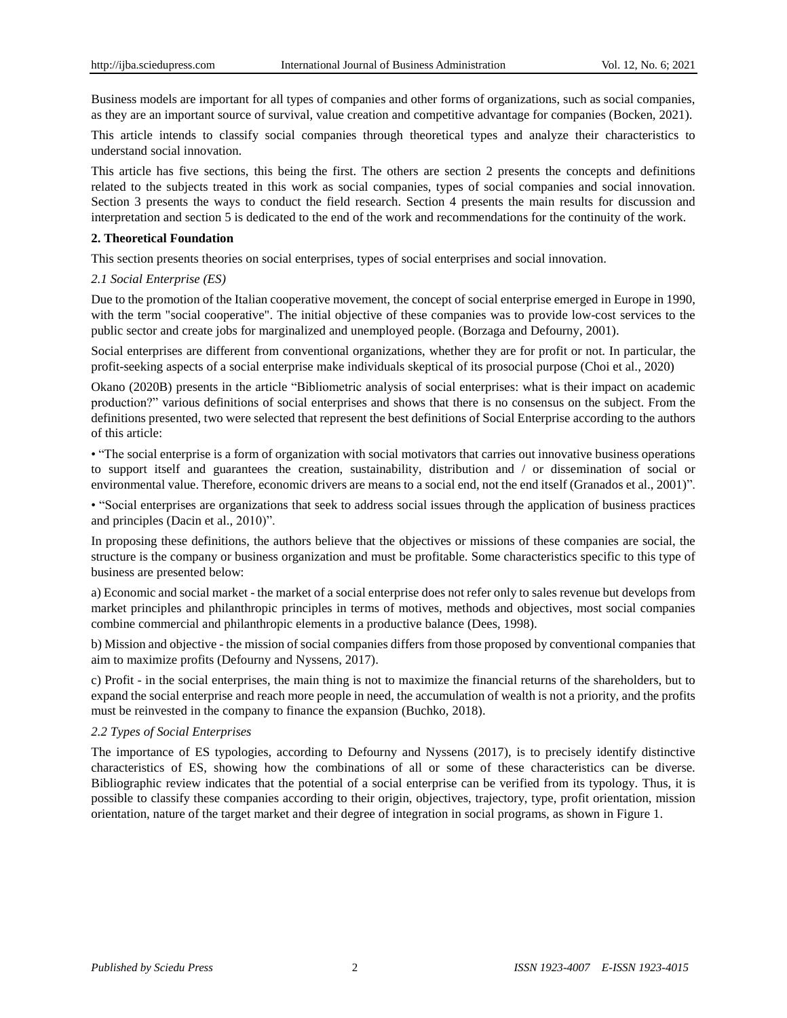Business models are important for all types of companies and other forms of organizations, such as social companies, as they are an important source of survival, value creation and competitive advantage for companies (Bocken, 2021).

This article intends to classify social companies through theoretical types and analyze their characteristics to understand social innovation.

This article has five sections, this being the first. The others are section 2 presents the concepts and definitions related to the subjects treated in this work as social companies, types of social companies and social innovation. Section 3 presents the ways to conduct the field research. Section 4 presents the main results for discussion and interpretation and section 5 is dedicated to the end of the work and recommendations for the continuity of the work.

## **2. Theoretical Foundation**

This section presents theories on social enterprises, types of social enterprises and social innovation.

## *2.1 Social Enterprise (ES)*

Due to the promotion of the Italian cooperative movement, the concept of social enterprise emerged in Europe in 1990, with the term "social cooperative". The initial objective of these companies was to provide low-cost services to the public sector and create jobs for marginalized and unemployed people. (Borzaga and Defourny, 2001).

Social enterprises are different from conventional organizations, whether they are for profit or not. In particular, the profit-seeking aspects of a social enterprise make individuals skeptical of its prosocial purpose (Choi et al., 2020)

Okano (2020B) presents in the article "Bibliometric analysis of social enterprises: what is their impact on academic production?" various definitions of social enterprises and shows that there is no consensus on the subject. From the definitions presented, two were selected that represent the best definitions of Social Enterprise according to the authors of this article:

• "The social enterprise is a form of organization with social motivators that carries out innovative business operations to support itself and guarantees the creation, sustainability, distribution and / or dissemination of social or environmental value. Therefore, economic drivers are means to a social end, not the end itself (Granados et al., 2001)".

• "Social enterprises are organizations that seek to address social issues through the application of business practices and principles (Dacin et al., 2010)".

In proposing these definitions, the authors believe that the objectives or missions of these companies are social, the structure is the company or business organization and must be profitable. Some characteristics specific to this type of business are presented below:

a) Economic and social market - the market of a social enterprise does not refer only to sales revenue but develops from market principles and philanthropic principles in terms of motives, methods and objectives, most social companies combine commercial and philanthropic elements in a productive balance (Dees, 1998).

b) Mission and objective - the mission of social companies differs from those proposed by conventional companies that aim to maximize profits (Defourny and Nyssens, 2017).

c) Profit - in the social enterprises, the main thing is not to maximize the financial returns of the shareholders, but to expand the social enterprise and reach more people in need, the accumulation of wealth is not a priority, and the profits must be reinvested in the company to finance the expansion (Buchko, 2018).

## *2.2 Types of Social Enterprises*

The importance of ES typologies, according to Defourny and Nyssens (2017), is to precisely identify distinctive characteristics of ES, showing how the combinations of all or some of these characteristics can be diverse. Bibliographic review indicates that the potential of a social enterprise can be verified from its typology. Thus, it is possible to classify these companies according to their origin, objectives, trajectory, type, profit orientation, mission orientation, nature of the target market and their degree of integration in social programs, as shown in Figure 1.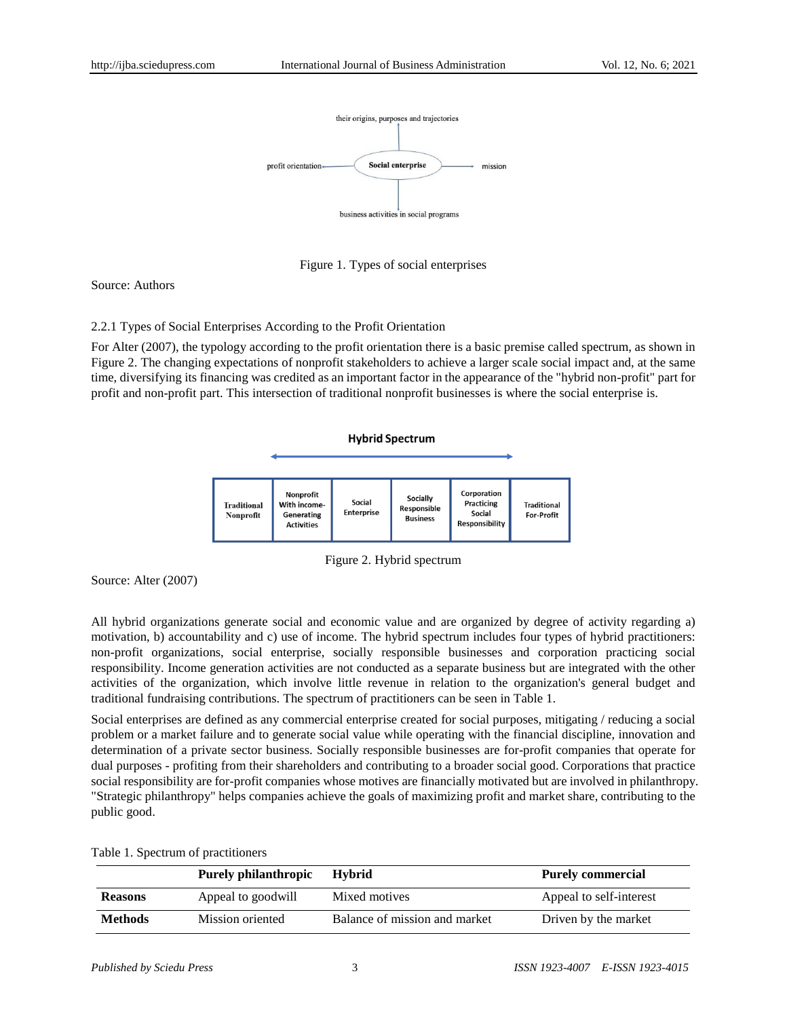



Source: Authors

2.2.1 Types of Social Enterprises According to the Profit Orientation

For Alter (2007), the typology according to the profit orientation there is a basic premise called spectrum, as shown in Figure 2. The changing expectations of nonprofit stakeholders to achieve a larger scale social impact and, at the same time, diversifying its financing was credited as an important factor in the appearance of the "hybrid non-profit" part for profit and non-profit part. This intersection of traditional nonprofit businesses is where the social enterprise is.

**Hybrid Spectrum** 

| <b>Traditional</b><br>Nonprofit | Nonprofit<br>With income-<br>Generating<br><b>Activities</b> | Social<br><b>Enterprise</b> | Socially<br>Responsible<br><b>Business</b> | Corporation<br>Practicing<br>Social<br><b>Responsibility</b> | <b>Traditional</b><br><b>For-Profit</b> |
|---------------------------------|--------------------------------------------------------------|-----------------------------|--------------------------------------------|--------------------------------------------------------------|-----------------------------------------|

Figure 2. Hybrid spectrum

Source: Alter (2007)

All hybrid organizations generate social and economic value and are organized by degree of activity regarding a) motivation, b) accountability and c) use of income. The hybrid spectrum includes four types of hybrid practitioners: non-profit organizations, social enterprise, socially responsible businesses and corporation practicing social responsibility. Income generation activities are not conducted as a separate business but are integrated with the other activities of the organization, which involve little revenue in relation to the organization's general budget and traditional fundraising contributions. The spectrum of practitioners can be seen in Table 1.

Social enterprises are defined as any commercial enterprise created for social purposes, mitigating / reducing a social problem or a market failure and to generate social value while operating with the financial discipline, innovation and determination of a private sector business. Socially responsible businesses are for-profit companies that operate for dual purposes - profiting from their shareholders and contributing to a broader social good. Corporations that practice social responsibility are for-profit companies whose motives are financially motivated but are involved in philanthropy. "Strategic philanthropy" helps companies achieve the goals of maximizing profit and market share, contributing to the public good.

|  |  |  |  | Table 1. Spectrum of practitioners |
|--|--|--|--|------------------------------------|
|--|--|--|--|------------------------------------|

|                | <b>Purely philanthropic</b> | <b>Hybrid</b>                 | <b>Purely commercial</b> |
|----------------|-----------------------------|-------------------------------|--------------------------|
| <b>Reasons</b> | Appeal to goodwill          | Mixed motives                 | Appeal to self-interest  |
| <b>Methods</b> | Mission oriented            | Balance of mission and market | Driven by the market     |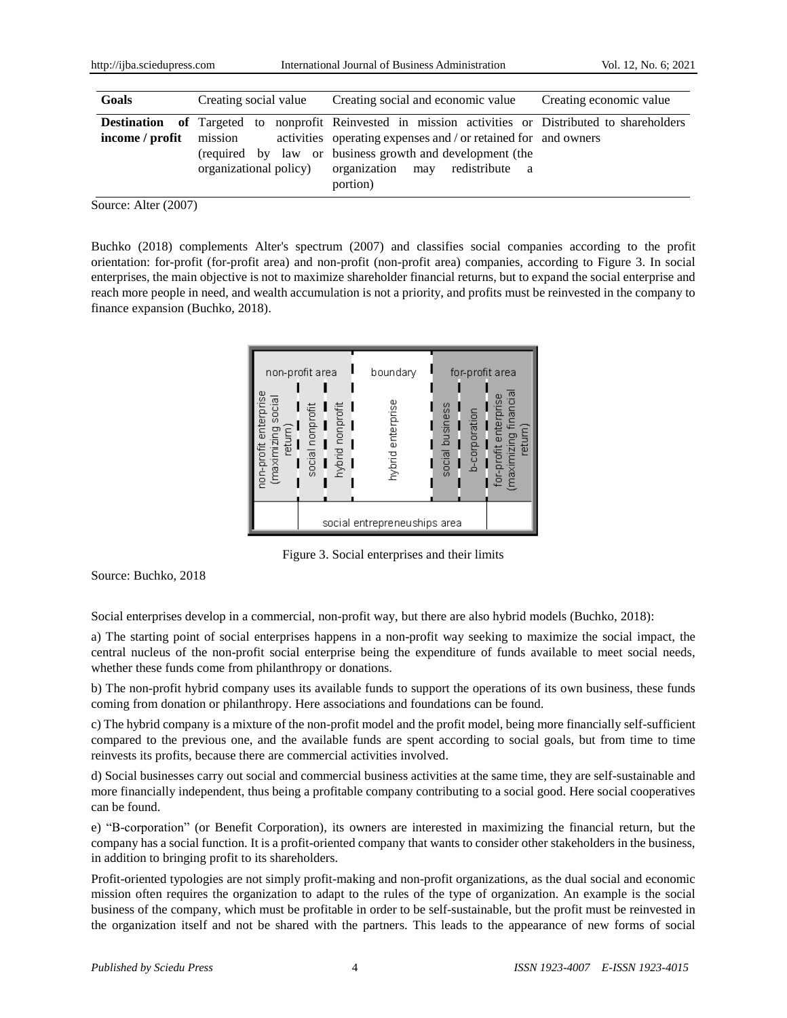| Goals                                                | Creating social value | Creating social and economic value                                                                                                          | Creating economic value |
|------------------------------------------------------|-----------------------|---------------------------------------------------------------------------------------------------------------------------------------------|-------------------------|
| <b>Destination</b> of Targeted to<br>income / profit | mission               | nonprofit Reinvested in mission activities or Distributed to shareholders<br>activities operating expenses and / or retained for and owners |                         |
|                                                      |                       | (required by law or business growth and development (the<br>organizational policy) organization may redistribute a<br>portion)              |                         |

Source: Alter (2007)

Buchko (2018) complements Alter's spectrum (2007) and classifies social companies according to the profit orientation: for-profit (for-profit area) and non-profit (non-profit area) companies, according to Figure 3. In social enterprises, the main objective is not to maximize shareholder financial returns, but to expand the social enterprise and reach more people in need, and wealth accumulation is not a priority, and profits must be reinvested in the company to finance expansion (Buchko, 2018).



Figure 3. Social enterprises and their limits

Source: Buchko, 2018

Social enterprises develop in a commercial, non-profit way, but there are also hybrid models (Buchko, 2018):

a) The starting point of social enterprises happens in a non-profit way seeking to maximize the social impact, the central nucleus of the non-profit social enterprise being the expenditure of funds available to meet social needs, whether these funds come from philanthropy or donations.

b) The non-profit hybrid company uses its available funds to support the operations of its own business, these funds coming from donation or philanthropy. Here associations and foundations can be found.

c) The hybrid company is a mixture of the non-profit model and the profit model, being more financially self-sufficient compared to the previous one, and the available funds are spent according to social goals, but from time to time reinvests its profits, because there are commercial activities involved.

d) Social businesses carry out social and commercial business activities at the same time, they are self-sustainable and more financially independent, thus being a profitable company contributing to a social good. Here social cooperatives can be found.

e) "B-corporation" (or Benefit Corporation), its owners are interested in maximizing the financial return, but the company has a social function. It is a profit-oriented company that wants to consider other stakeholders in the business, in addition to bringing profit to its shareholders.

Profit-oriented typologies are not simply profit-making and non-profit organizations, as the dual social and economic mission often requires the organization to adapt to the rules of the type of organization. An example is the social business of the company, which must be profitable in order to be self-sustainable, but the profit must be reinvested in the organization itself and not be shared with the partners. This leads to the appearance of new forms of social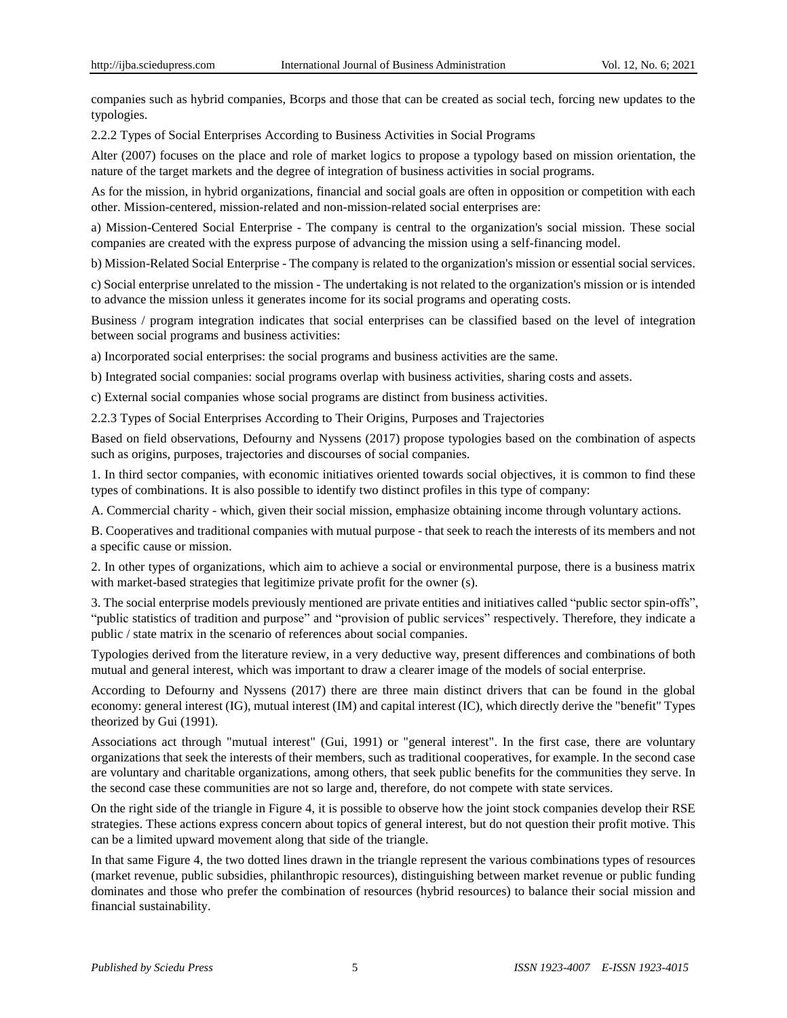companies such as hybrid companies, Bcorps and those that can be created as social tech, forcing new updates to the typologies.

2.2.2 Types of Social Enterprises According to Business Activities in Social Programs

Alter (2007) focuses on the place and role of market logics to propose a typology based on mission orientation, the nature of the target markets and the degree of integration of business activities in social programs.

As for the mission, in hybrid organizations, financial and social goals are often in opposition or competition with each other. Mission-centered, mission-related and non-mission-related social enterprises are:

a) Mission-Centered Social Enterprise - The company is central to the organization's social mission. These social companies are created with the express purpose of advancing the mission using a self-financing model.

b) Mission-Related Social Enterprise - The company is related to the organization's mission or essential social services.

c) Social enterprise unrelated to the mission - The undertaking is not related to the organization's mission or is intended to advance the mission unless it generates income for its social programs and operating costs.

Business / program integration indicates that social enterprises can be classified based on the level of integration between social programs and business activities:

a) Incorporated social enterprises: the social programs and business activities are the same.

b) Integrated social companies: social programs overlap with business activities, sharing costs and assets.

c) External social companies whose social programs are distinct from business activities.

2.2.3 Types of Social Enterprises According to Their Origins, Purposes and Trajectories

Based on field observations, Defourny and Nyssens (2017) propose typologies based on the combination of aspects such as origins, purposes, trajectories and discourses of social companies.

1. In third sector companies, with economic initiatives oriented towards social objectives, it is common to find these types of combinations. It is also possible to identify two distinct profiles in this type of company:

A. Commercial charity - which, given their social mission, emphasize obtaining income through voluntary actions.

B. Cooperatives and traditional companies with mutual purpose - that seek to reach the interests of its members and not a specific cause or mission.

2. In other types of organizations, which aim to achieve a social or environmental purpose, there is a business matrix with market-based strategies that legitimize private profit for the owner (s).

3. The social enterprise models previously mentioned are private entities and initiatives called "public sector spin-offs", "public statistics of tradition and purpose" and "provision of public services" respectively. Therefore, they indicate a public / state matrix in the scenario of references about social companies.

Typologies derived from the literature review, in a very deductive way, present differences and combinations of both mutual and general interest, which was important to draw a clearer image of the models of social enterprise.

According to Defourny and Nyssens (2017) there are three main distinct drivers that can be found in the global economy: general interest (IG), mutual interest (IM) and capital interest (IC), which directly derive the "benefit" Types theorized by Gui (1991).

Associations act through "mutual interest" (Gui, 1991) or "general interest". In the first case, there are voluntary organizations that seek the interests of their members, such as traditional cooperatives, for example. In the second case are voluntary and charitable organizations, among others, that seek public benefits for the communities they serve. In the second case these communities are not so large and, therefore, do not compete with state services.

On the right side of the triangle in Figure 4, it is possible to observe how the joint stock companies develop their RSE strategies. These actions express concern about topics of general interest, but do not question their profit motive. This can be a limited upward movement along that side of the triangle.

In that same Figure 4, the two dotted lines drawn in the triangle represent the various combinations types of resources (market revenue, public subsidies, philanthropic resources), distinguishing between market revenue or public funding dominates and those who prefer the combination of resources (hybrid resources) to balance their social mission and financial sustainability.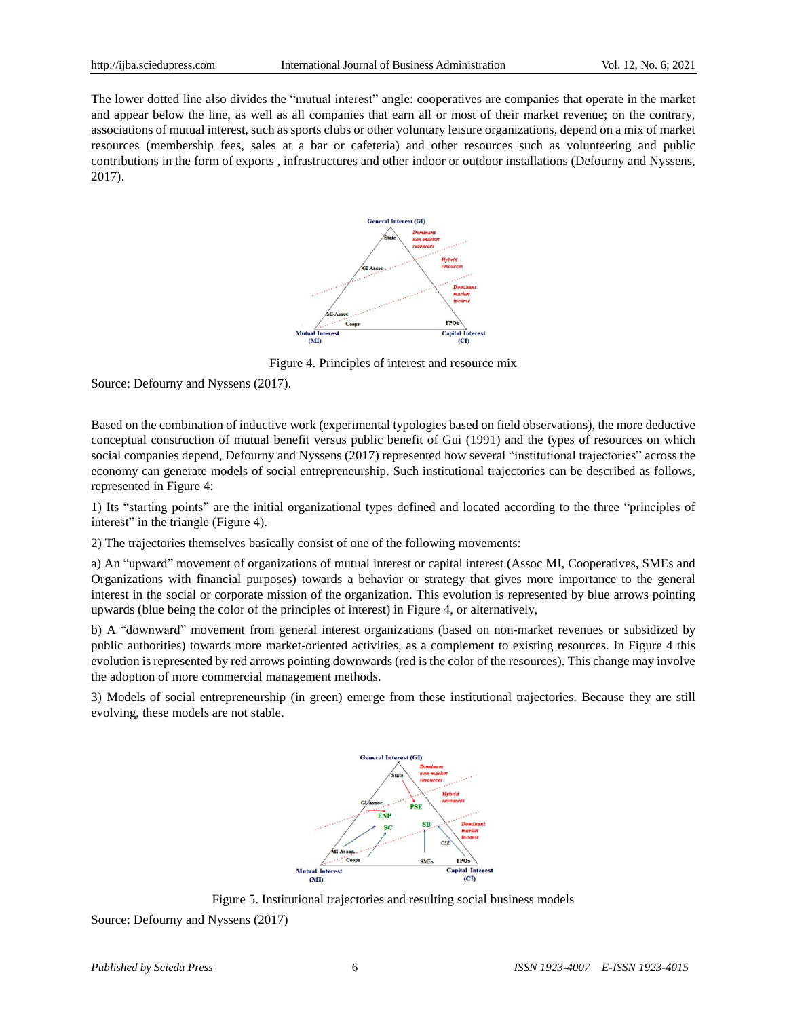The lower dotted line also divides the "mutual interest" angle: cooperatives are companies that operate in the market and appear below the line, as well as all companies that earn all or most of their market revenue; on the contrary, associations of mutual interest, such as sports clubs or other voluntary leisure organizations, depend on a mix of market resources (membership fees, sales at a bar or cafeteria) and other resources such as volunteering and public contributions in the form of exports , infrastructures and other indoor or outdoor installations (Defourny and Nyssens, 2017).



Figure 4. Principles of interest and resource mix

Source: Defourny and Nyssens (2017).

Based on the combination of inductive work (experimental typologies based on field observations), the more deductive conceptual construction of mutual benefit versus public benefit of Gui (1991) and the types of resources on which social companies depend, Defourny and Nyssens (2017) represented how several "institutional trajectories" across the economy can generate models of social entrepreneurship. Such institutional trajectories can be described as follows, represented in Figure 4:

1) Its "starting points" are the initial organizational types defined and located according to the three "principles of interest" in the triangle (Figure 4).

2) The trajectories themselves basically consist of one of the following movements:

a) An "upward" movement of organizations of mutual interest or capital interest (Assoc MI, Cooperatives, SMEs and Organizations with financial purposes) towards a behavior or strategy that gives more importance to the general interest in the social or corporate mission of the organization. This evolution is represented by blue arrows pointing upwards (blue being the color of the principles of interest) in Figure 4, or alternatively,

b) A "downward" movement from general interest organizations (based on non-market revenues or subsidized by public authorities) towards more market-oriented activities, as a complement to existing resources. In Figure 4 this evolution is represented by red arrows pointing downwards (red is the color of the resources). This change may involve the adoption of more commercial management methods.

3) Models of social entrepreneurship (in green) emerge from these institutional trajectories. Because they are still evolving, these models are not stable.



Figure 5. Institutional trajectories and resulting social business models

Source: Defourny and Nyssens (2017)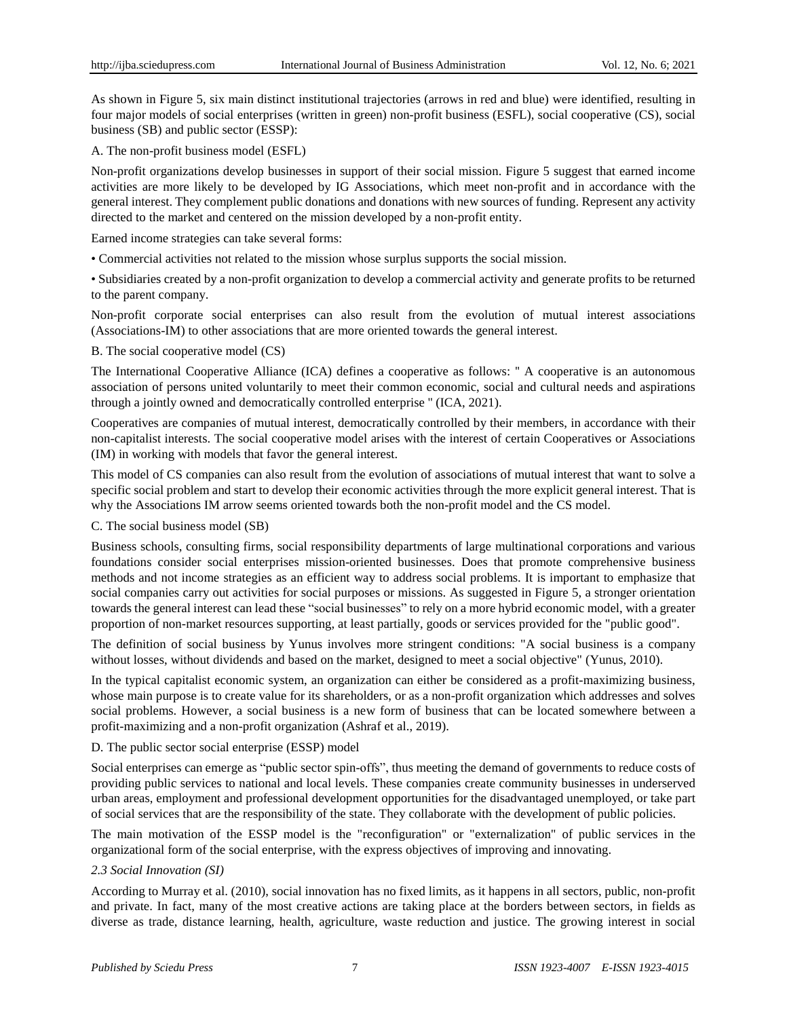As shown in Figure 5, six main distinct institutional trajectories (arrows in red and blue) were identified, resulting in four major models of social enterprises (written in green) non-profit business (ESFL), social cooperative (CS), social business (SB) and public sector (ESSP):

A. The non-profit business model (ESFL)

Non-profit organizations develop businesses in support of their social mission. Figure 5 suggest that earned income activities are more likely to be developed by IG Associations, which meet non-profit and in accordance with the general interest. They complement public donations and donations with new sources of funding. Represent any activity directed to the market and centered on the mission developed by a non-profit entity.

Earned income strategies can take several forms:

• Commercial activities not related to the mission whose surplus supports the social mission.

• Subsidiaries created by a non-profit organization to develop a commercial activity and generate profits to be returned to the parent company.

Non-profit corporate social enterprises can also result from the evolution of mutual interest associations (Associations-IM) to other associations that are more oriented towards the general interest.

B. The social cooperative model (CS)

The International Cooperative Alliance (ICA) defines a cooperative as follows: '' A cooperative is an autonomous association of persons united voluntarily to meet their common economic, social and cultural needs and aspirations through a jointly owned and democratically controlled enterprise '' (ICA, 2021).

Cooperatives are companies of mutual interest, democratically controlled by their members, in accordance with their non-capitalist interests. The social cooperative model arises with the interest of certain Cooperatives or Associations (IM) in working with models that favor the general interest.

This model of CS companies can also result from the evolution of associations of mutual interest that want to solve a specific social problem and start to develop their economic activities through the more explicit general interest. That is why the Associations IM arrow seems oriented towards both the non-profit model and the CS model.

C. The social business model (SB)

Business schools, consulting firms, social responsibility departments of large multinational corporations and various foundations consider social enterprises mission-oriented businesses. Does that promote comprehensive business methods and not income strategies as an efficient way to address social problems. It is important to emphasize that social companies carry out activities for social purposes or missions. As suggested in Figure 5, a stronger orientation towards the general interest can lead these "social businesses" to rely on a more hybrid economic model, with a greater proportion of non-market resources supporting, at least partially, goods or services provided for the "public good".

The definition of social business by Yunus involves more stringent conditions: "A social business is a company without losses, without dividends and based on the market, designed to meet a social objective" (Yunus, 2010).

In the typical capitalist economic system, an organization can either be considered as a profit-maximizing business, whose main purpose is to create value for its shareholders, or as a non-profit organization which addresses and solves social problems. However, a social business is a new form of business that can be located somewhere between a profit-maximizing and a non-profit organization (Ashraf et al., 2019).

# D. The public sector social enterprise (ESSP) model

Social enterprises can emerge as "public sector spin-offs", thus meeting the demand of governments to reduce costs of providing public services to national and local levels. These companies create community businesses in underserved urban areas, employment and professional development opportunities for the disadvantaged unemployed, or take part of social services that are the responsibility of the state. They collaborate with the development of public policies.

The main motivation of the ESSP model is the "reconfiguration" or "externalization" of public services in the organizational form of the social enterprise, with the express objectives of improving and innovating.

# *2.3 Social Innovation (SI)*

According to Murray et al. (2010), social innovation has no fixed limits, as it happens in all sectors, public, non-profit and private. In fact, many of the most creative actions are taking place at the borders between sectors, in fields as diverse as trade, distance learning, health, agriculture, waste reduction and justice. The growing interest in social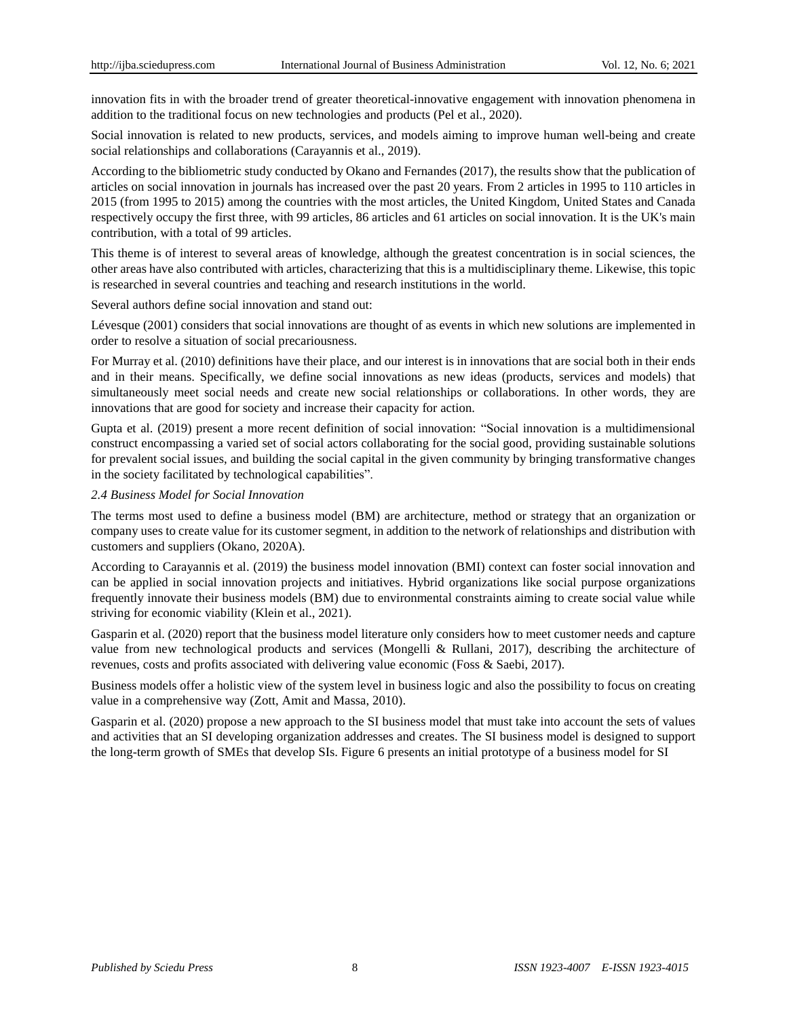innovation fits in with the broader trend of greater theoretical-innovative engagement with innovation phenomena in addition to the traditional focus on new technologies and products (Pel et al., 2020).

Social innovation is related to new products, services, and models aiming to improve human well-being and create social relationships and collaborations (Carayannis et al., 2019).

According to the bibliometric study conducted by Okano and Fernandes (2017), the results show that the publication of articles on social innovation in journals has increased over the past 20 years. From 2 articles in 1995 to 110 articles in 2015 (from 1995 to 2015) among the countries with the most articles, the United Kingdom, United States and Canada respectively occupy the first three, with 99 articles, 86 articles and 61 articles on social innovation. It is the UK's main contribution, with a total of 99 articles.

This theme is of interest to several areas of knowledge, although the greatest concentration is in social sciences, the other areas have also contributed with articles, characterizing that this is a multidisciplinary theme. Likewise, this topic is researched in several countries and teaching and research institutions in the world.

Several authors define social innovation and stand out:

Lévesque (2001) considers that social innovations are thought of as events in which new solutions are implemented in order to resolve a situation of social precariousness.

For Murray et al. (2010) definitions have their place, and our interest is in innovations that are social both in their ends and in their means. Specifically, we define social innovations as new ideas (products, services and models) that simultaneously meet social needs and create new social relationships or collaborations. In other words, they are innovations that are good for society and increase their capacity for action.

Gupta et al. (2019) present a more recent definition of social innovation: "Social innovation is a multidimensional construct encompassing a varied set of social actors collaborating for the social good, providing sustainable solutions for prevalent social issues, and building the social capital in the given community by bringing transformative changes in the society facilitated by technological capabilities".

#### *2.4 Business Model for Social Innovation*

The terms most used to define a business model (BM) are architecture, method or strategy that an organization or company uses to create value for its customer segment, in addition to the network of relationships and distribution with customers and suppliers (Okano, 2020A).

According to Carayannis et al. (2019) the business model innovation (BMI) context can foster social innovation and can be applied in social innovation projects and initiatives. Hybrid organizations like social purpose organizations frequently innovate their business models (BM) due to environmental constraints aiming to create social value while striving for economic viability (Klein et al., 2021).

Gasparin et al. (2020) report that the business model literature only considers how to meet customer needs and capture value from new technological products and services (Mongelli & Rullani, 2017), describing the architecture of revenues, costs and profits associated with delivering value economic (Foss & Saebi, 2017).

Business models offer a holistic view of the system level in business logic and also the possibility to focus on creating value in a comprehensive way (Zott, Amit and Massa, 2010).

Gasparin et al. (2020) propose a new approach to the SI business model that must take into account the sets of values and activities that an SI developing organization addresses and creates. The SI business model is designed to support the long-term growth of SMEs that develop SIs. Figure 6 presents an initial prototype of a business model for SI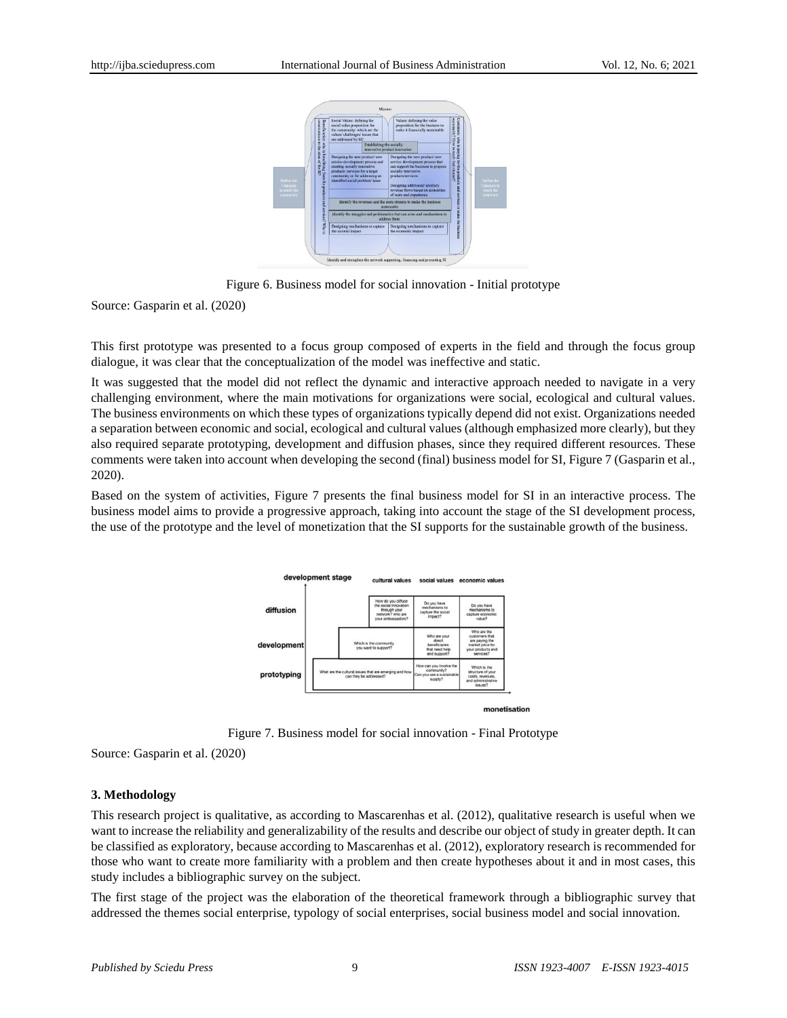

Figure 6. Business model for social innovation - Initial prototype

Source: Gasparin et al. (2020)

This first prototype was presented to a focus group composed of experts in the field and through the focus group dialogue, it was clear that the conceptualization of the model was ineffective and static.

It was suggested that the model did not reflect the dynamic and interactive approach needed to navigate in a very challenging environment, where the main motivations for organizations were social, ecological and cultural values. The business environments on which these types of organizations typically depend did not exist. Organizations needed a separation between economic and social, ecological and cultural values (although emphasized more clearly), but they also required separate prototyping, development and diffusion phases, since they required different resources. These comments were taken into account when developing the second (final) business model for SI, Figure 7 (Gasparin et al., 2020).

Based on the system of activities, Figure 7 presents the final business model for SI in an interactive process. The business model aims to provide a progressive approach, taking into account the stage of the SI development process, the use of the prototype and the level of monetization that the SI supports for the sustainable growth of the business.



Figure 7. Business model for social innovation - Final Prototype

Source: Gasparin et al. (2020)

## **3. Methodology**

This research project is qualitative, as according to Mascarenhas et al. (2012), qualitative research is useful when we want to increase the reliability and generalizability of the results and describe our object of study in greater depth. It can be classified as exploratory, because according to Mascarenhas et al. (2012), exploratory research is recommended for those who want to create more familiarity with a problem and then create hypotheses about it and in most cases, this study includes a bibliographic survey on the subject.

The first stage of the project was the elaboration of the theoretical framework through a bibliographic survey that addressed the themes social enterprise, typology of social enterprises, social business model and social innovation.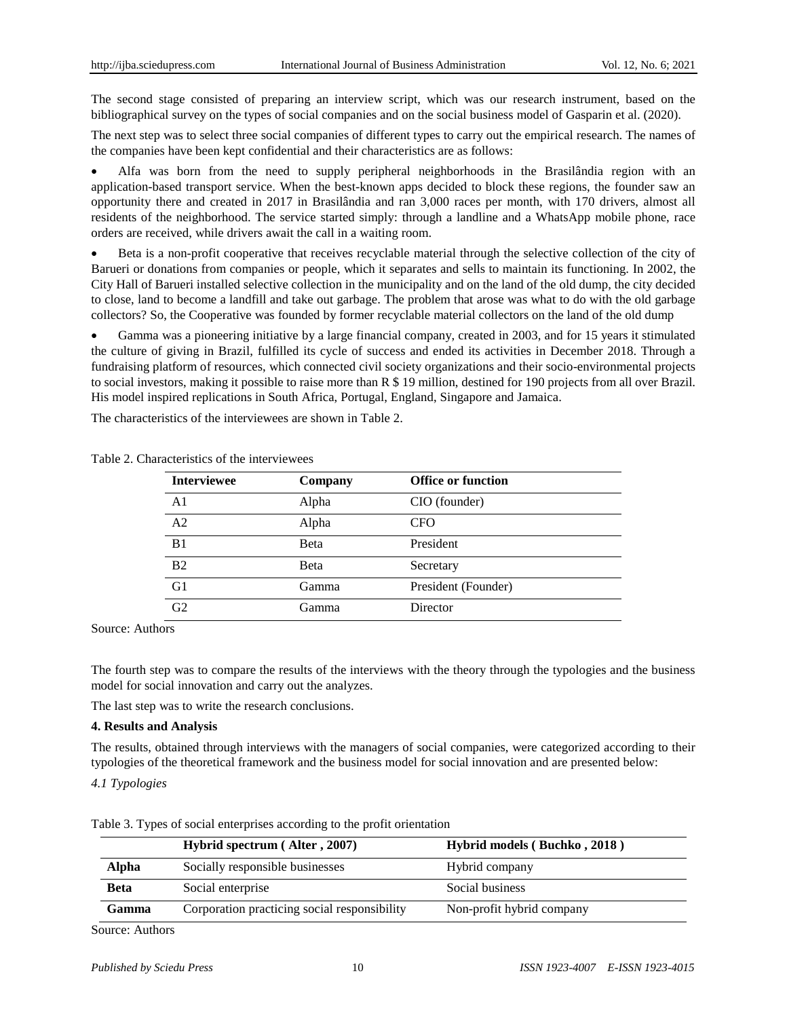The second stage consisted of preparing an interview script, which was our research instrument, based on the bibliographical survey on the types of social companies and on the social business model of Gasparin et al. (2020).

The next step was to select three social companies of different types to carry out the empirical research. The names of the companies have been kept confidential and their characteristics are as follows:

 Alfa was born from the need to supply peripheral neighborhoods in the Brasilândia region with an application-based transport service. When the best-known apps decided to block these regions, the founder saw an opportunity there and created in 2017 in Brasilândia and ran 3,000 races per month, with 170 drivers, almost all residents of the neighborhood. The service started simply: through a landline and a WhatsApp mobile phone, race orders are received, while drivers await the call in a waiting room.

 Beta is a non-profit cooperative that receives recyclable material through the selective collection of the city of Barueri or donations from companies or people, which it separates and sells to maintain its functioning. In 2002, the City Hall of Barueri installed selective collection in the municipality and on the land of the old dump, the city decided to close, land to become a landfill and take out garbage. The problem that arose was what to do with the old garbage collectors? So, the Cooperative was founded by former recyclable material collectors on the land of the old dump

 Gamma was a pioneering initiative by a large financial company, created in 2003, and for 15 years it stimulated the culture of giving in Brazil, fulfilled its cycle of success and ended its activities in December 2018. Through a fundraising platform of resources, which connected civil society organizations and their socio-environmental projects to social investors, making it possible to raise more than R \$ 19 million, destined for 190 projects from all over Brazil. His model inspired replications in South Africa, Portugal, England, Singapore and Jamaica.

The characteristics of the interviewees are shown in Table 2.

| <b>Interviewee</b> | Company | <b>Office or function</b> |
|--------------------|---------|---------------------------|
| A <sub>1</sub>     | Alpha   | CIO (founder)             |
| A <sub>2</sub>     | Alpha   | CFO                       |
| B <sub>1</sub>     | Beta    | President                 |
| B <sub>2</sub>     | Beta    | Secretary                 |
| G1                 | Gamma   | President (Founder)       |
| G <sub>2</sub>     | Gamma   | Director                  |

Table 2. Characteristics of the interviewees

Source: Authors

The fourth step was to compare the results of the interviews with the theory through the typologies and the business model for social innovation and carry out the analyzes.

The last step was to write the research conclusions.

## **4. Results and Analysis**

The results, obtained through interviews with the managers of social companies, were categorized according to their typologies of the theoretical framework and the business model for social innovation and are presented below:

*4.1 Typologies*

|              | Hybrid spectrum (Alter, 2007)                | Hybrid models (Buchko, 2018) |
|--------------|----------------------------------------------|------------------------------|
| Alpha        | Socially responsible businesses              | Hybrid company               |
| <b>Beta</b>  | Social enterprise                            | Social business              |
| <b>Gamma</b> | Corporation practicing social responsibility | Non-profit hybrid company    |

Table 3. Types of social enterprises according to the profit orientation

Source: Authors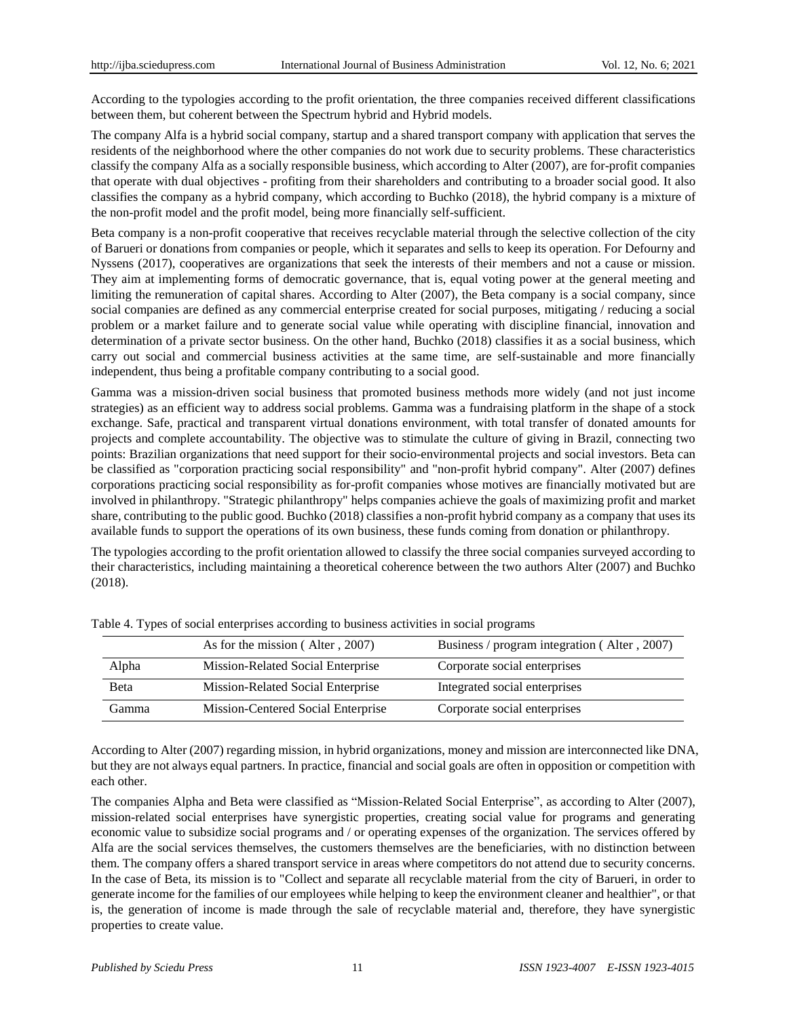According to the typologies according to the profit orientation, the three companies received different classifications between them, but coherent between the Spectrum hybrid and Hybrid models.

The company Alfa is a hybrid social company, startup and a shared transport company with application that serves the residents of the neighborhood where the other companies do not work due to security problems. These characteristics classify the company Alfa as a socially responsible business, which according to Alter (2007), are for-profit companies that operate with dual objectives - profiting from their shareholders and contributing to a broader social good. It also classifies the company as a hybrid company, which according to Buchko (2018), the hybrid company is a mixture of the non-profit model and the profit model, being more financially self-sufficient.

Beta company is a non-profit cooperative that receives recyclable material through the selective collection of the city of Barueri or donations from companies or people, which it separates and sells to keep its operation. For Defourny and Nyssens (2017), cooperatives are organizations that seek the interests of their members and not a cause or mission. They aim at implementing forms of democratic governance, that is, equal voting power at the general meeting and limiting the remuneration of capital shares. According to Alter (2007), the Beta company is a social company, since social companies are defined as any commercial enterprise created for social purposes, mitigating / reducing a social problem or a market failure and to generate social value while operating with discipline financial, innovation and determination of a private sector business. On the other hand, Buchko (2018) classifies it as a social business, which carry out social and commercial business activities at the same time, are self-sustainable and more financially independent, thus being a profitable company contributing to a social good.

Gamma was a mission-driven social business that promoted business methods more widely (and not just income strategies) as an efficient way to address social problems. Gamma was a fundraising platform in the shape of a stock exchange. Safe, practical and transparent virtual donations environment, with total transfer of donated amounts for projects and complete accountability. The objective was to stimulate the culture of giving in Brazil, connecting two points: Brazilian organizations that need support for their socio-environmental projects and social investors. Beta can be classified as "corporation practicing social responsibility" and "non-profit hybrid company". Alter (2007) defines corporations practicing social responsibility as for-profit companies whose motives are financially motivated but are involved in philanthropy. "Strategic philanthropy" helps companies achieve the goals of maximizing profit and market share, contributing to the public good. Buchko (2018) classifies a non-profit hybrid company as a company that uses its available funds to support the operations of its own business, these funds coming from donation or philanthropy.

The typologies according to the profit orientation allowed to classify the three social companies surveyed according to their characteristics, including maintaining a theoretical coherence between the two authors Alter (2007) and Buchko (2018).

|       | As for the mission (Alter, 2007)   | Business / program integration (Alter, 2007) |
|-------|------------------------------------|----------------------------------------------|
| Alpha | Mission-Related Social Enterprise  | Corporate social enterprises                 |
| Beta  | Mission-Related Social Enterprise  | Integrated social enterprises                |
| Gamma | Mission-Centered Social Enterprise | Corporate social enterprises                 |

Table 4. Types of social enterprises according to business activities in social programs

According to Alter (2007) regarding mission, in hybrid organizations, money and mission are interconnected like DNA, but they are not always equal partners. In practice, financial and social goals are often in opposition or competition with each other.

The companies Alpha and Beta were classified as "Mission-Related Social Enterprise", as according to Alter (2007), mission-related social enterprises have synergistic properties, creating social value for programs and generating economic value to subsidize social programs and / or operating expenses of the organization. The services offered by Alfa are the social services themselves, the customers themselves are the beneficiaries, with no distinction between them. The company offers a shared transport service in areas where competitors do not attend due to security concerns. In the case of Beta, its mission is to "Collect and separate all recyclable material from the city of Barueri, in order to generate income for the families of our employees while helping to keep the environment cleaner and healthier", or that is, the generation of income is made through the sale of recyclable material and, therefore, they have synergistic properties to create value.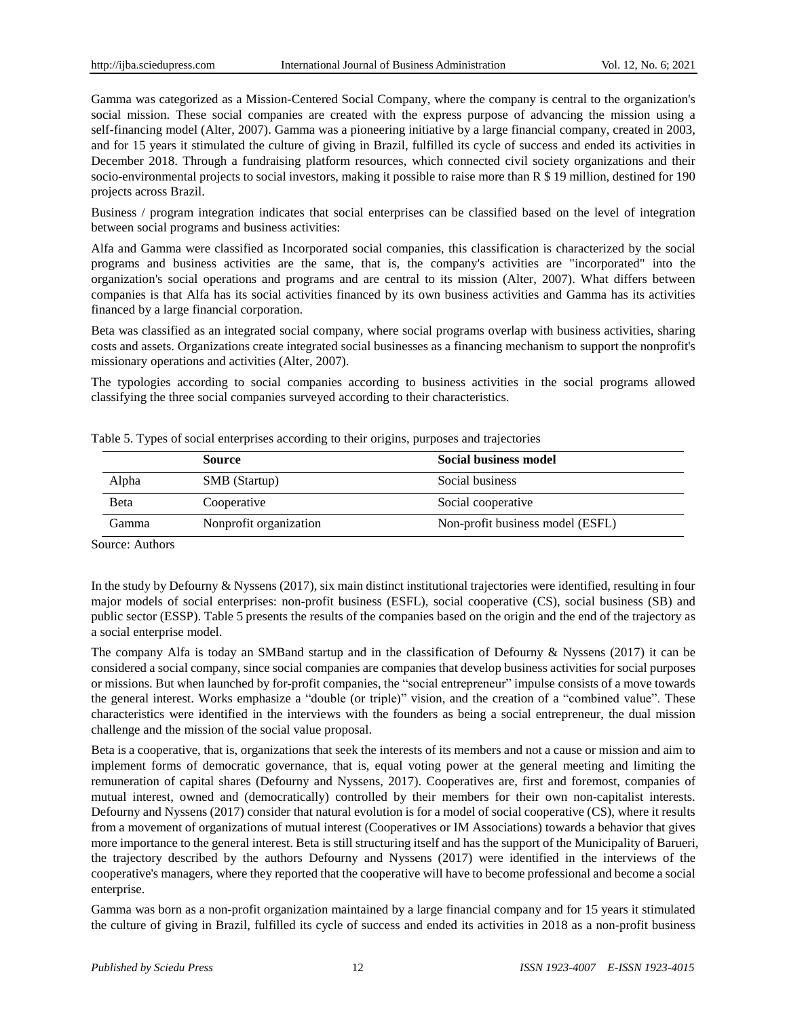Gamma was categorized as a Mission-Centered Social Company, where the company is central to the organization's social mission. These social companies are created with the express purpose of advancing the mission using a self-financing model (Alter, 2007). Gamma was a pioneering initiative by a large financial company, created in 2003, and for 15 years it stimulated the culture of giving in Brazil, fulfilled its cycle of success and ended its activities in December 2018. Through a fundraising platform resources, which connected civil society organizations and their socio-environmental projects to social investors, making it possible to raise more than R \$ 19 million, destined for 190 projects across Brazil.

Business / program integration indicates that social enterprises can be classified based on the level of integration between social programs and business activities:

Alfa and Gamma were classified as Incorporated social companies, this classification is characterized by the social programs and business activities are the same, that is, the company's activities are "incorporated" into the organization's social operations and programs and are central to its mission (Alter, 2007). What differs between companies is that Alfa has its social activities financed by its own business activities and Gamma has its activities financed by a large financial corporation.

Beta was classified as an integrated social company, where social programs overlap with business activities, sharing costs and assets. Organizations create integrated social businesses as a financing mechanism to support the nonprofit's missionary operations and activities (Alter, 2007).

The typologies according to social companies according to business activities in the social programs allowed classifying the three social companies surveyed according to their characteristics.

|       | <b>Source</b>          | <b>Social business model</b>     |
|-------|------------------------|----------------------------------|
| Alpha | <b>SMB</b> (Startup)   | Social business                  |
| Beta  | Cooperative            | Social cooperative               |
| Gamma | Nonprofit organization | Non-profit business model (ESFL) |

Table 5. Types of social enterprises according to their origins, purposes and trajectories

Source: Authors

In the study by Defourny & Nyssens (2017), six main distinct institutional trajectories were identified, resulting in four major models of social enterprises: non-profit business (ESFL), social cooperative (CS), social business (SB) and public sector (ESSP). Table 5 presents the results of the companies based on the origin and the end of the trajectory as a social enterprise model.

The company Alfa is today an SMBand startup and in the classification of Defourny & Nyssens (2017) it can be considered a social company, since social companies are companies that develop business activities for social purposes or missions. But when launched by for-profit companies, the "social entrepreneur" impulse consists of a move towards the general interest. Works emphasize a "double (or triple)" vision, and the creation of a "combined value". These characteristics were identified in the interviews with the founders as being a social entrepreneur, the dual mission challenge and the mission of the social value proposal.

Beta is a cooperative, that is, organizations that seek the interests of its members and not a cause or mission and aim to implement forms of democratic governance, that is, equal voting power at the general meeting and limiting the remuneration of capital shares (Defourny and Nyssens, 2017). Cooperatives are, first and foremost, companies of mutual interest, owned and (democratically) controlled by their members for their own non-capitalist interests. Defourny and Nyssens (2017) consider that natural evolution is for a model of social cooperative (CS), where it results from a movement of organizations of mutual interest (Cooperatives or IM Associations) towards a behavior that gives more importance to the general interest. Beta is still structuring itself and has the support of the Municipality of Barueri, the trajectory described by the authors Defourny and Nyssens (2017) were identified in the interviews of the cooperative's managers, where they reported that the cooperative will have to become professional and become a social enterprise.

Gamma was born as a non-profit organization maintained by a large financial company and for 15 years it stimulated the culture of giving in Brazil, fulfilled its cycle of success and ended its activities in 2018 as a non-profit business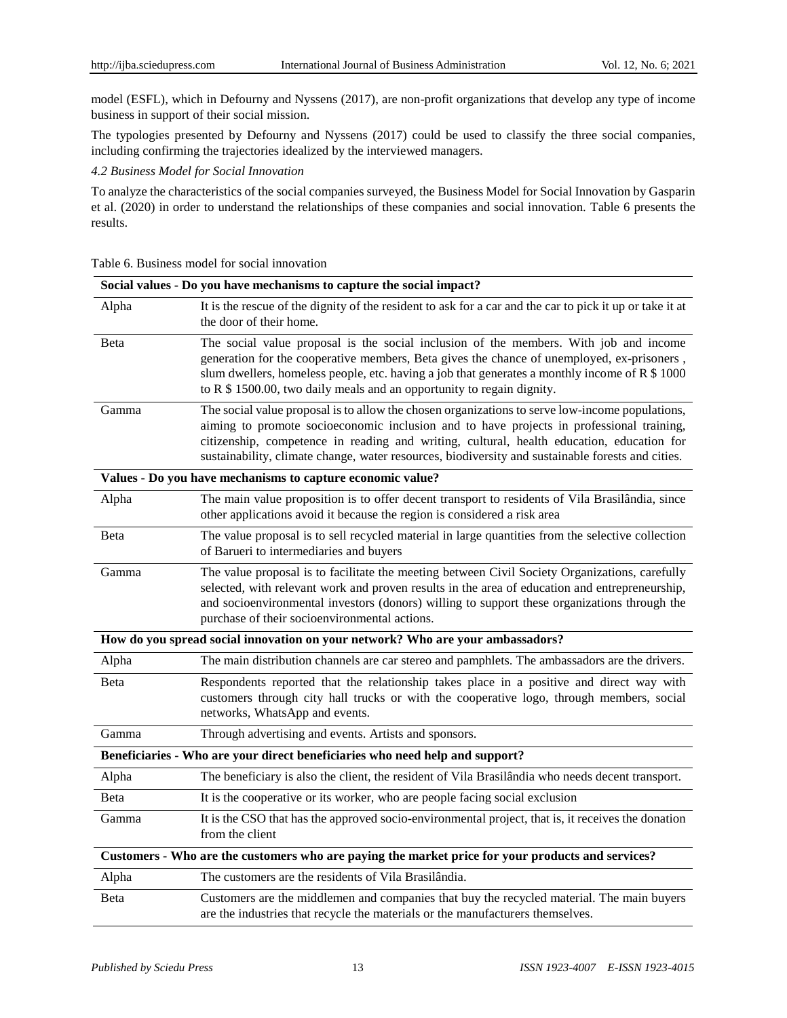model (ESFL), which in Defourny and Nyssens (2017), are non-profit organizations that develop any type of income business in support of their social mission.

The typologies presented by Defourny and Nyssens (2017) could be used to classify the three social companies, including confirming the trajectories idealized by the interviewed managers.

*4.2 Business Model for Social Innovation*

To analyze the characteristics of the social companies surveyed, the Business Model for Social Innovation by Gasparin et al. (2020) in order to understand the relationships of these companies and social innovation. Table 6 presents the results.

|  | Table 6. Business model for social innovation |  |  |
|--|-----------------------------------------------|--|--|
|--|-----------------------------------------------|--|--|

|              | Social values - Do you have mechanisms to capture the social impact?                                                                                                                                                                                                                                                                                                                          |
|--------------|-----------------------------------------------------------------------------------------------------------------------------------------------------------------------------------------------------------------------------------------------------------------------------------------------------------------------------------------------------------------------------------------------|
| Alpha        | It is the rescue of the dignity of the resident to ask for a car and the car to pick it up or take it at<br>the door of their home.                                                                                                                                                                                                                                                           |
| Beta         | The social value proposal is the social inclusion of the members. With job and income<br>generation for the cooperative members, Beta gives the chance of unemployed, ex-prisoners,<br>slum dwellers, homeless people, etc. having a job that generates a monthly income of R \$ 1000<br>to R \$ 1500.00, two daily meals and an opportunity to regain dignity.                               |
| Gamma        | The social value proposal is to allow the chosen organizations to serve low-income populations,<br>aiming to promote socioeconomic inclusion and to have projects in professional training,<br>citizenship, competence in reading and writing, cultural, health education, education for<br>sustainability, climate change, water resources, biodiversity and sustainable forests and cities. |
|              | Values - Do you have mechanisms to capture economic value?                                                                                                                                                                                                                                                                                                                                    |
| Alpha        | The main value proposition is to offer decent transport to residents of Vila Brasil ândia, since<br>other applications avoid it because the region is considered a risk area                                                                                                                                                                                                                  |
| Beta         | The value proposal is to sell recycled material in large quantities from the selective collection<br>of Barueri to intermediaries and buyers                                                                                                                                                                                                                                                  |
| Gamma        | The value proposal is to facilitate the meeting between Civil Society Organizations, carefully<br>selected, with relevant work and proven results in the area of education and entrepreneurship,<br>and socioenvironmental investors (donors) willing to support these organizations through the<br>purchase of their socioenvironmental actions.                                             |
|              | How do you spread social innovation on your network? Who are your ambassadors?                                                                                                                                                                                                                                                                                                                |
| Alpha        | The main distribution channels are car stereo and pamphlets. The ambassadors are the drivers.                                                                                                                                                                                                                                                                                                 |
| Beta         | Respondents reported that the relationship takes place in a positive and direct way with<br>customers through city hall trucks or with the cooperative logo, through members, social<br>networks, WhatsApp and events.                                                                                                                                                                        |
| Gamma        | Through advertising and events. Artists and sponsors.                                                                                                                                                                                                                                                                                                                                         |
|              | Beneficiaries - Who are your direct beneficiaries who need help and support?                                                                                                                                                                                                                                                                                                                  |
| Alpha        | The beneficiary is also the client, the resident of Vila Brasil andia who needs decent transport.                                                                                                                                                                                                                                                                                             |
| <b>B</b> eta | It is the cooperative or its worker, who are people facing social exclusion                                                                                                                                                                                                                                                                                                                   |
| Gamma        | It is the CSO that has the approved socio-environmental project, that is, it receives the donation<br>from the client                                                                                                                                                                                                                                                                         |
|              | Customers - Who are the customers who are paying the market price for your products and services?                                                                                                                                                                                                                                                                                             |
| Alpha        | The customers are the residents of Vila Brasil ândia.                                                                                                                                                                                                                                                                                                                                         |
| <b>B</b> eta | Customers are the middlemen and companies that buy the recycled material. The main buyers<br>are the industries that recycle the materials or the manufacturers themselves.                                                                                                                                                                                                                   |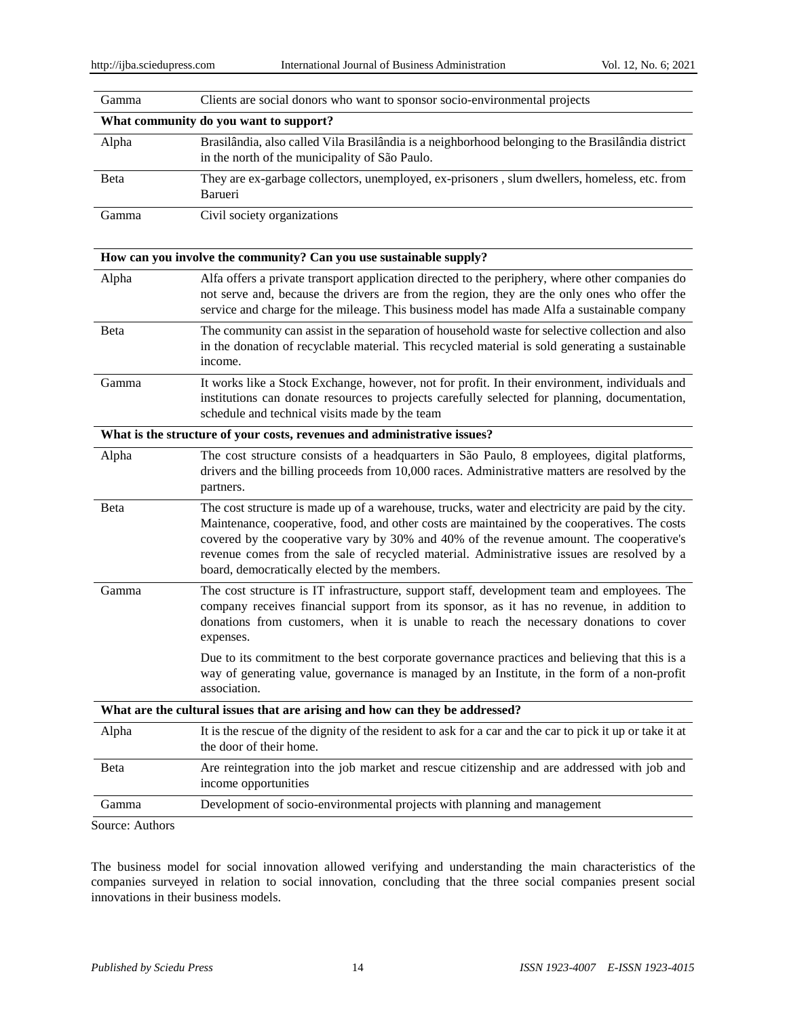| Gamma           | Clients are social donors who want to sponsor socio-environmental projects                                                                                                                                                                                                                                                                                                                                                                  |
|-----------------|---------------------------------------------------------------------------------------------------------------------------------------------------------------------------------------------------------------------------------------------------------------------------------------------------------------------------------------------------------------------------------------------------------------------------------------------|
|                 | What community do you want to support?                                                                                                                                                                                                                                                                                                                                                                                                      |
| Alpha           | Brasil ândia, also called Vila Brasil ândia is a neighborhood belonging to the Brasil ândia district<br>in the north of the municipality of S ão Paulo.                                                                                                                                                                                                                                                                                     |
| Beta            | They are ex-garbage collectors, unemployed, ex-prisoners, slum dwellers, homeless, etc. from<br>Barueri                                                                                                                                                                                                                                                                                                                                     |
| Gamma           | Civil society organizations                                                                                                                                                                                                                                                                                                                                                                                                                 |
|                 | How can you involve the community? Can you use sustainable supply?                                                                                                                                                                                                                                                                                                                                                                          |
| Alpha           | Alfa offers a private transport application directed to the periphery, where other companies do<br>not serve and, because the drivers are from the region, they are the only ones who offer the<br>service and charge for the mileage. This business model has made Alfa a sustainable company                                                                                                                                              |
| Beta            | The community can assist in the separation of household waste for selective collection and also<br>in the donation of recyclable material. This recycled material is sold generating a sustainable<br>income.                                                                                                                                                                                                                               |
| Gamma           | It works like a Stock Exchange, however, not for profit. In their environment, individuals and<br>institutions can donate resources to projects carefully selected for planning, documentation,<br>schedule and technical visits made by the team                                                                                                                                                                                           |
|                 | What is the structure of your costs, revenues and administrative issues?                                                                                                                                                                                                                                                                                                                                                                    |
| Alpha           | The cost structure consists of a headquarters in S $\tilde{a}$ Paulo, 8 employees, digital platforms,<br>drivers and the billing proceeds from 10,000 races. Administrative matters are resolved by the<br>partners.                                                                                                                                                                                                                        |
| Beta            | The cost structure is made up of a warehouse, trucks, water and electricity are paid by the city.<br>Maintenance, cooperative, food, and other costs are maintained by the cooperatives. The costs<br>covered by the cooperative vary by 30% and 40% of the revenue amount. The cooperative's<br>revenue comes from the sale of recycled material. Administrative issues are resolved by a<br>board, democratically elected by the members. |
| Gamma           | The cost structure is IT infrastructure, support staff, development team and employees. The<br>company receives financial support from its sponsor, as it has no revenue, in addition to<br>donations from customers, when it is unable to reach the necessary donations to cover<br>expenses.                                                                                                                                              |
|                 | Due to its commitment to the best corporate governance practices and believing that this is a<br>way of generating value, governance is managed by an Institute, in the form of a non-profit<br>association.                                                                                                                                                                                                                                |
|                 | What are the cultural issues that are arising and how can they be addressed?                                                                                                                                                                                                                                                                                                                                                                |
| Alpha           | It is the rescue of the dignity of the resident to ask for a car and the car to pick it up or take it at<br>the door of their home.                                                                                                                                                                                                                                                                                                         |
| Beta            | Are reintegration into the job market and rescue citizenship and are addressed with job and<br>income opportunities                                                                                                                                                                                                                                                                                                                         |
| Gamma           | Development of socio-environmental projects with planning and management                                                                                                                                                                                                                                                                                                                                                                    |
| Source: Authors |                                                                                                                                                                                                                                                                                                                                                                                                                                             |

Source: Author

The business model for social innovation allowed verifying and understanding the main characteristics of the companies surveyed in relation to social innovation, concluding that the three social companies present social innovations in their business models.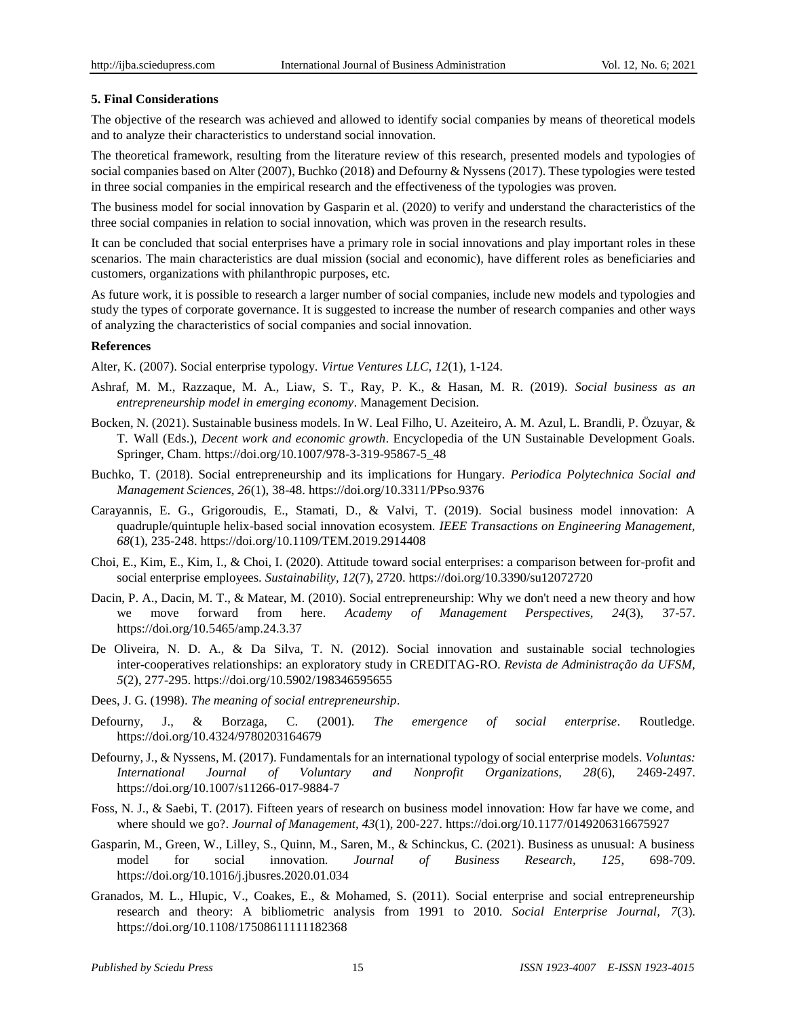## **5. Final Considerations**

The objective of the research was achieved and allowed to identify social companies by means of theoretical models and to analyze their characteristics to understand social innovation.

The theoretical framework, resulting from the literature review of this research, presented models and typologies of social companies based on Alter (2007), Buchko (2018) and Defourny & Nyssens (2017). These typologies were tested in three social companies in the empirical research and the effectiveness of the typologies was proven.

The business model for social innovation by Gasparin et al. (2020) to verify and understand the characteristics of the three social companies in relation to social innovation, which was proven in the research results.

It can be concluded that social enterprises have a primary role in social innovations and play important roles in these scenarios. The main characteristics are dual mission (social and economic), have different roles as beneficiaries and customers, organizations with philanthropic purposes, etc.

As future work, it is possible to research a larger number of social companies, include new models and typologies and study the types of corporate governance. It is suggested to increase the number of research companies and other ways of analyzing the characteristics of social companies and social innovation.

## **References**

Alter, K. (2007). Social enterprise typology. *Virtue Ventures LLC, 12*(1), 1-124.

- Ashraf, M. M., Razzaque, M. A., Liaw, S. T., Ray, P. K., & Hasan, M. R. (2019). *Social business as an entrepreneurship model in emerging economy*. Management Decision.
- Bocken, N. (2021). Sustainable business models. In W. Leal Filho, U. Azeiteiro, A. M. Azul, L. Brandli, P. Özuyar, & T. Wall (Eds.), *Decent work and economic growth*. Encyclopedia of the UN Sustainable Development Goals. Springer, Cham. https://doi.org/10.1007/978-3-319-95867-5\_48
- Buchko, T. (2018). Social entrepreneurship and its implications for Hungary. *Periodica Polytechnica Social and Management Sciences, 26*(1), 38-48. https://doi.org/10.3311/PPso.9376
- Carayannis, E. G., Grigoroudis, E., Stamati, D., & Valvi, T. (2019). Social business model innovation: A quadruple/quintuple helix-based social innovation ecosystem. *IEEE Transactions on Engineering Management, 68*(1), 235-248. https://doi.org/10.1109/TEM.2019.2914408
- Choi, E., Kim, E., Kim, I., & Choi, I. (2020). Attitude toward social enterprises: a comparison between for-profit and social enterprise employees. *Sustainability, 12*(7), 2720. https://doi.org/10.3390/su12072720
- Dacin, P. A., Dacin, M. T., & Matear, M. (2010). Social entrepreneurship: Why we don't need a new theory and how we move forward from here. *Academy of Management Perspectives, 24*(3), 37-57. https://doi.org/10.5465/amp.24.3.37
- De Oliveira, N. D. A., & Da Silva, T. N. (2012). Social innovation and sustainable social technologies inter-cooperatives relationships: an exploratory study in CREDITAG-RO. *Revista de Administração da UFSM, 5*(2), 277-295. https://doi.org/10.5902/198346595655
- Dees, J. G. (1998). *The meaning of social entrepreneurship*.
- Defourny, J., & Borzaga, C. (2001). *The emergence of social enterprise*. Routledge. https://doi.org/10.4324/9780203164679
- Defourny, J., & Nyssens, M. (2017). Fundamentals for an international typology of social enterprise models. *Voluntas: International Journal of Voluntary and Nonprofit Organizations, 28*(6), 2469-2497. https://doi.org/10.1007/s11266-017-9884-7
- Foss, N. J., & Saebi, T. (2017). Fifteen years of research on business model innovation: How far have we come, and where should we go?. *Journal of Management, 43*(1), 200-227. https://doi.org/10.1177/0149206316675927
- Gasparin, M., Green, W., Lilley, S., Quinn, M., Saren, M., & Schinckus, C. (2021). Business as unusual: A business model for social innovation. *Journal of Business Research, 125*, 698-709. https://doi.org/10.1016/j.jbusres.2020.01.034
- Granados, M. L., Hlupic, V., Coakes, E., & Mohamed, S. (2011). Social enterprise and social entrepreneurship research and theory: A bibliometric analysis from 1991 to 2010. *Social Enterprise Journal, 7*(3). https://doi.org/10.1108/17508611111182368